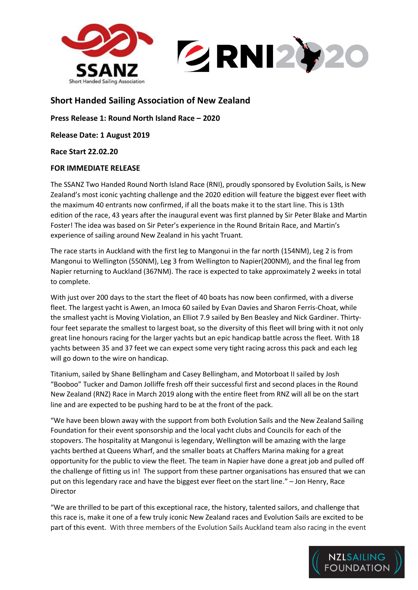

## **Short Handed Sailing Association of New Zealand**

**Press Release 1: Round North Island Race – 2020**

**Release Date: 1 August 2019**

**Race Start 22.02.20**

## **FOR IMMEDIATE RELEASE**

The SSANZ Two Handed Round North Island Race (RNI), proudly sponsored by Evolution Sails, is New Zealand's most iconic yachting challenge and the 2020 edition will feature the biggest ever fleet with the maximum 40 entrants now confirmed, if all the boats make it to the start line. This is 13th edition of the race, 43 years after the inaugural event was first planned by Sir Peter Blake and Martin Foster! The idea was based on Sir Peter's experience in the Round Britain Race, and Martin's experience of sailing around New Zealand in his yacht Truant.

The race starts in Auckland with the first leg to Mangonui in the far north (154NM), Leg 2 is from Mangonui to Wellington (550NM), Leg 3 from Wellington to Napier(200NM), and the final leg from Napier returning to Auckland (367NM). The race is expected to take approximately 2 weeks in total to complete.

With just over 200 days to the start the fleet of 40 boats has now been confirmed, with a diverse fleet. The largest yacht is Awen, an Imoca 60 sailed by Evan Davies and Sharon Ferris-Choat, while the smallest yacht is Moving Violation, an Elliot 7.9 sailed by Ben Beasley and Nick Gardiner. Thirtyfour feet separate the smallest to largest boat, so the diversity of this fleet will bring with it not only great line honours racing for the larger yachts but an epic handicap battle across the fleet. With 18 yachts between 35 and 37 feet we can expect some very tight racing across this pack and each leg will go down to the wire on handicap.

Titanium, sailed by Shane Bellingham and Casey Bellingham, and Motorboat II sailed by Josh "Booboo" Tucker and Damon Jolliffe fresh off their successful first and second places in the Round New Zealand (RNZ) Race in March 2019 along with the entire fleet from RNZ will all be on the start line and are expected to be pushing hard to be at the front of the pack.

"We have been blown away with the support from both Evolution Sails and the New Zealand Sailing Foundation for their event sponsorship and the local yacht clubs and Councils for each of the stopovers. The hospitality at Mangonui is legendary, Wellington will be amazing with the large yachts berthed at Queens Wharf, and the smaller boats at Chaffers Marina making for a great opportunity for the public to view the fleet. The team in Napier have done a great job and pulled off the challenge of fitting us in! The support from these partner organisations has ensured that we can put on this legendary race and have the biggest ever fleet on the start line." – Jon Henry, Race Director

"We are thrilled to be part of this exceptional race, the history, talented sailors, and challenge that this race is, make it one of a few truly iconic New Zealand races and Evolution Sails are excited to be part of this event. With three members of the Evolution Sails Auckland team also racing in the event